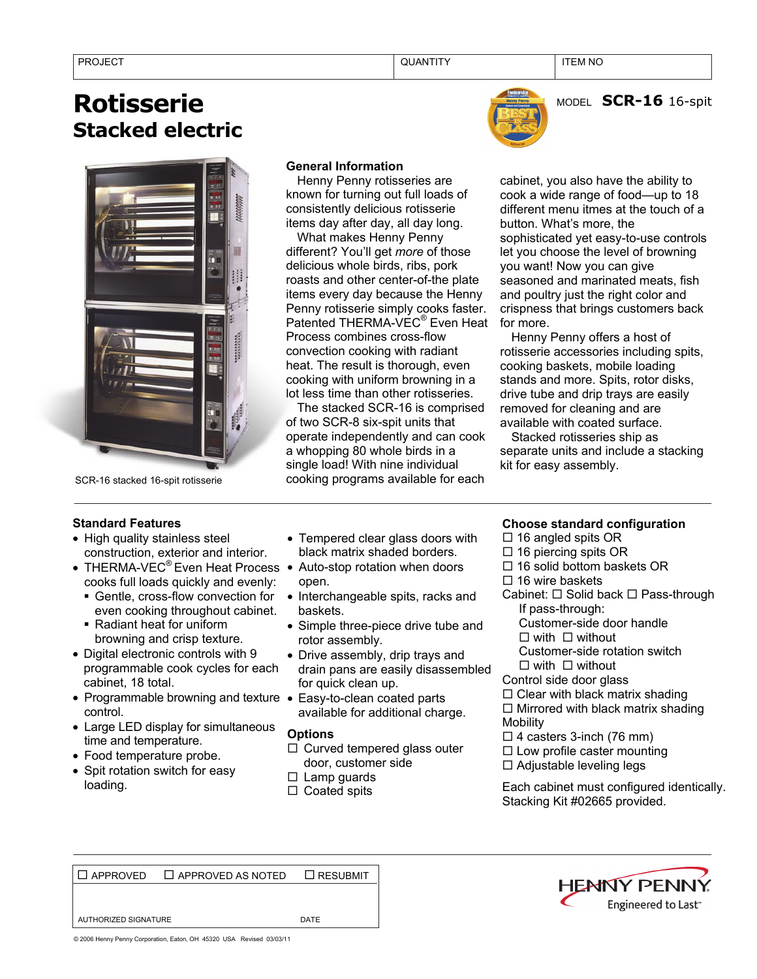# **Rotisserie Stacked electric**



SCR-16 stacked 16-spit rotisserie

### **General Information**

Henny Penny rotisseries are known for turning out full loads of consistently delicious rotisserie items day after day, all day long.

What makes Henny Penny different? You'll get *more* of those delicious whole birds, ribs, pork roasts and other center-of-the plate items every day because the Henny Penny rotisserie simply cooks faster. Patented THERMA-VEC® Even Heat Process combines cross-flow convection cooking with radiant heat. The result is thorough, even cooking with uniform browning in a lot less time than other rotisseries.

The stacked SCR-16 is comprised of two SCR-8 six-spit units that operate independently and can cook a whopping 80 whole birds in a single load! With nine individual cooking programs available for each

MODEL **SCR-16** 16-spit

cabinet, you also have the ability to cook a wide range of food—up to 18 different menu itmes at the touch of a button. What's more, the sophisticated yet easy-to-use controls let you choose the level of browning you want! Now you can give seasoned and marinated meats, fish and poultry just the right color and crispness that brings customers back for more.

Henny Penny offers a host of rotisserie accessories including spits, cooking baskets, mobile loading stands and more. Spits, rotor disks, drive tube and drip trays are easily removed for cleaning and are available with coated surface.

Stacked rotisseries ship as separate units and include a stacking kit for easy assembly.

## **Standard Features**

- High quality stainless steel construction, exterior and interior.
- THERMA-VEC<sup>®</sup> Even Heat Process Auto-stop rotation when doors cooks full loads quickly and evenly:
	- Gentle, cross-flow convection for even cooking throughout cabinet.
	- Radiant heat for uniform browning and crisp texture.
- Digital electronic controls with 9 programmable cook cycles for each cabinet, 18 total.
- Programmable browning and texture Easy-to-clean coated parts control.
- Large LED display for simultaneous time and temperature.
- Food temperature probe.
- Spit rotation switch for easy loading.
- Tempered clear glass doors with black matrix shaded borders.
- open.
- Interchangeable spits, racks and baskets.
- Simple three-piece drive tube and rotor assembly.
- Drive assembly, drip trays and drain pans are easily disassembled for quick clean up.
- available for additional charge.

### **Options**

- $\Box$  Curved tempered glass outer door, customer side
- $\square$  Lamp guards
- $\Box$  Coated spits

### **Choose standard configuration**

- $\Box$  16 angled spits OR
- $\Box$  16 piercing spits OR
- $\Box$  16 solid bottom baskets OR
- $\Box$  16 wire baskets
- Cabinet:  $\Box$  Solid back  $\Box$  Pass-through If pass-through:
	- Customer-side door handle
	- $\Box$  with  $\Box$  without
	- Customer-side rotation switch  $\Box$  with  $\Box$  without
- Control side door glass
- $\Box$  Clear with black matrix shading
- $\Box$  Mirrored with black matrix shading **Mobility**
- $\Box$  4 casters 3-inch (76 mm)
- $\Box$  Low profile caster mounting
- $\Box$  Adjustable leveling legs
- Each cabinet must configured identically. Stacking Kit #02665 provided.

 $\Box$  APPROVED  $\Box$  APPROVED AS NOTED  $\Box$  RESUBMIT

AUTHORIZED SIGNATURE **Example 20 SIGNATURE** 



© 2006 Henny Penny Corporation, Eaton, OH 45320 USA Revised 03/03/11